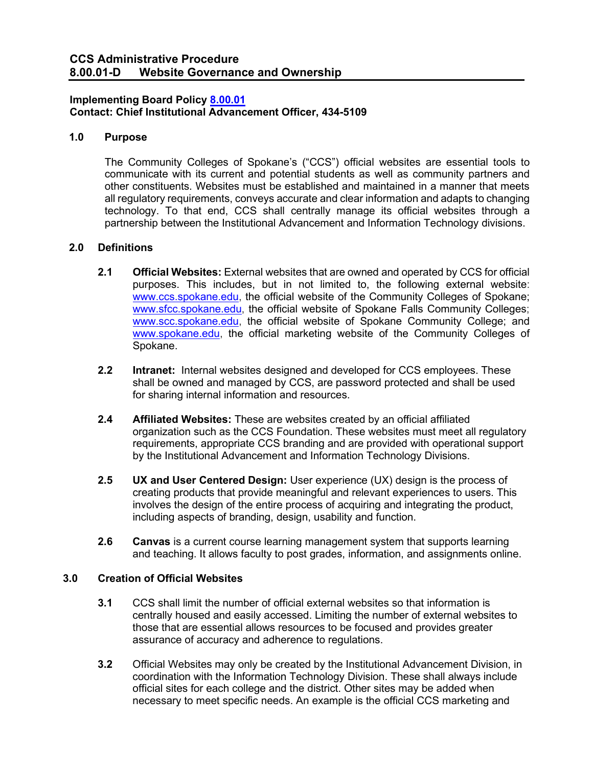## **Implementing Board Policy [8.00.01](https://ccs.spokane.edu/About-Us/Leadership/Board-of-Trustees/Policies-Procedures/Chapter8#AccWE2-1) Contact: Chief Institutional Advancement Officer, 434-5109**

## **1.0 Purpose**

The Community Colleges of Spokane's ("CCS") official websites are essential tools to communicate with its current and potential students as well as community partners and other constituents. Websites must be established and maintained in a manner that meets all regulatory requirements, conveys accurate and clear information and adapts to changing technology. To that end, CCS shall centrally manage its official websites through a partnership between the Institutional Advancement and Information Technology divisions.

## **2.0 Definitions**

- **2.1 Official Websites:** External websites that are owned and operated by CCS for official purposes. This includes, but in not limited to, the following external website: [www.ccs.spokane.edu,](http://www.ccs.spokane.edu/) the official website of the Community Colleges of Spokane; [www.sfcc.spokane.edu,](http://www.sfcc.spokane.edu/) the official website of Spokane Falls Community Colleges; [www.scc.spokane.edu,](http://www.scc.spokane.edu/) the official website of Spokane Community College; and [www.spokane.edu,](http://www.spokane.edu/) the official marketing website of the Community Colleges of Spokane.
- **2.2 Intranet:** Internal websites designed and developed for CCS employees. These shall be owned and managed by CCS, are password protected and shall be used for sharing internal information and resources.
- **2.4 Affiliated Websites:** These are websites created by an official affiliated organization such as the CCS Foundation. These websites must meet all regulatory requirements, appropriate CCS branding and are provided with operational support by the Institutional Advancement and Information Technology Divisions.
- **2.5 UX and User Centered Design:** User experience (UX) design is the process of creating products that provide meaningful and relevant experiences to users. This involves the design of the entire process of acquiring and integrating the product, including aspects of branding, design, usability and function.
- **2.6 Canvas** is a current course learning management system that supports learning and teaching. It allows faculty to post grades, information, and assignments online.

# **3.0 Creation of Official Websites**

- **3.1** CCS shall limit the number of official external websites so that information is centrally housed and easily accessed. Limiting the number of external websites to those that are essential allows resources to be focused and provides greater assurance of accuracy and adherence to regulations.
- **3.2** Official Websites may only be created by the Institutional Advancement Division, in coordination with the Information Technology Division. These shall always include official sites for each college and the district. Other sites may be added when necessary to meet specific needs. An example is the official CCS marketing and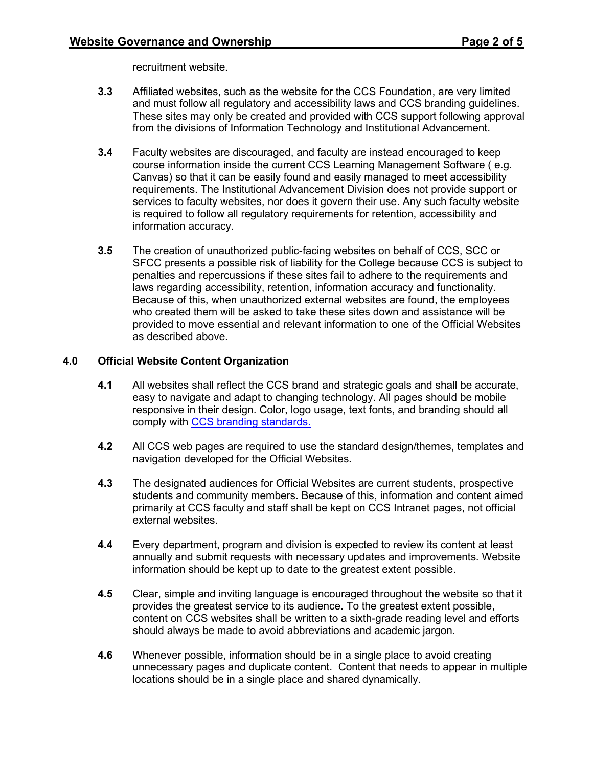recruitment website.

- **3.3** Affiliated websites, such as the website for the CCS Foundation, are very limited and must follow all regulatory and accessibility laws and CCS branding guidelines. These sites may only be created and provided with CCS support following approval from the divisions of Information Technology and Institutional Advancement.
- **3.4** Faculty websites are discouraged, and faculty are instead encouraged to keep course information inside the current CCS Learning Management Software ( e.g. Canvas) so that it can be easily found and easily managed to meet accessibility requirements. The Institutional Advancement Division does not provide support or services to faculty websites, nor does it govern their use. Any such faculty website is required to follow all regulatory requirements for retention, accessibility and information accuracy.
- **3.5** The creation of unauthorized public-facing websites on behalf of CCS, SCC or SFCC presents a possible risk of liability for the College because CCS is subject to penalties and repercussions if these sites fail to adhere to the requirements and laws regarding accessibility, retention, information accuracy and functionality. Because of this, when unauthorized external websites are found, the employees who created them will be asked to take these sites down and assistance will be provided to move essential and relevant information to one of the Official Websites as described above.

#### **4.0 Official Website Content Organization**

- **4.1** All websites shall reflect the CCS brand and strategic goals and shall be accurate, easy to navigate and adapt to changing technology. All pages should be mobile responsive in their design. Color, logo usage, text fonts, and branding should all comply with [CCS branding standards.](https://ccsnet.ccs.spokane.edu/Graphics,-Marketing---PR/CUSTOM-PAGES/Publications/CCS_StyleGuide.aspx)
- **4.2** All CCS web pages are required to use the standard design/themes, templates and navigation developed for the Official Websites.
- **4.3** The designated audiences for Official Websites are current students, prospective students and community members. Because of this, information and content aimed primarily at CCS faculty and staff shall be kept on CCS Intranet pages, not official external websites.
- **4.4** Every department, program and division is expected to review its content at least annually and submit requests with necessary updates and improvements. Website information should be kept up to date to the greatest extent possible.
- **4.5** Clear, simple and inviting language is encouraged throughout the website so that it provides the greatest service to its audience. To the greatest extent possible, content on CCS websites shall be written to a sixth-grade reading level and efforts should always be made to avoid abbreviations and academic jargon.
- **4.6** Whenever possible, information should be in a single place to avoid creating unnecessary pages and duplicate content. Content that needs to appear in multiple locations should be in a single place and shared dynamically.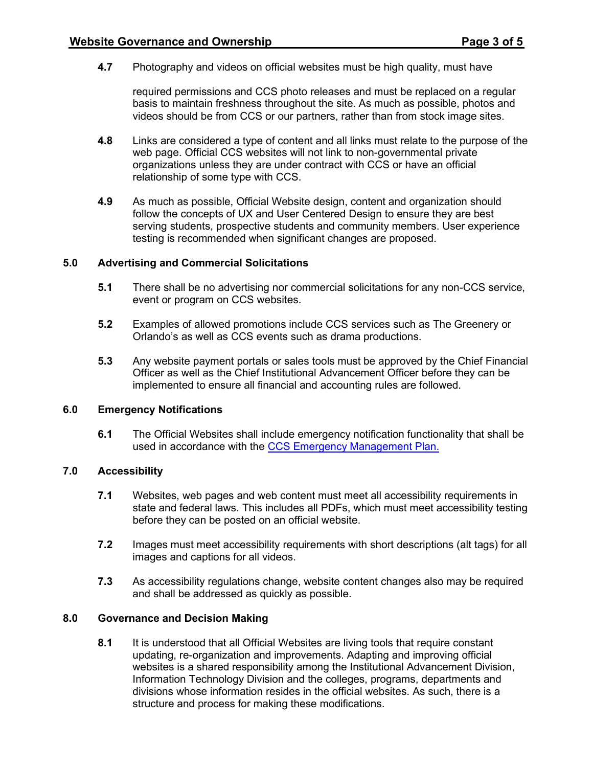**4.7** Photography and videos on official websites must be high quality, must have

required permissions and CCS photo releases and must be replaced on a regular basis to maintain freshness throughout the site. As much as possible, photos and videos should be from CCS or our partners, rather than from stock image sites.

- **4.8** Links are considered a type of content and all links must relate to the purpose of the web page. Official CCS websites will not link to non-governmental private organizations unless they are under contract with CCS or have an official relationship of some type with CCS.
- **4.9** As much as possible, Official Website design, content and organization should follow the concepts of UX and User Centered Design to ensure they are best serving students, prospective students and community members. User experience testing is recommended when significant changes are proposed.

## **5.0 Advertising and Commercial Solicitations**

- **5.1** There shall be no advertising nor commercial solicitations for any non-CCS service, event or program on CCS websites.
- **5.2** Examples of allowed promotions include CCS services such as The Greenery or Orlando's as well as CCS events such as drama productions.
- **5.3** Any website payment portals or sales tools must be approved by the Chief Financial Officer as well as the Chief Institutional Advancement Officer before they can be implemented to ensure all financial and accounting rules are followed.

#### **6.0 Emergency Notifications**

**6.1** The Official Websites shall include emergency notification functionality that shall be used in accordance with the [CCS Emergency Management Plan.](https://shared.spokane.edu/ccsglobal/media/Global/PDFs/District/Procedures/EmergencyManagementPlan.pdf)

#### **7.0 Accessibility**

- **7.1** Websites, web pages and web content must meet all accessibility requirements in state and federal laws. This includes all PDFs, which must meet accessibility testing before they can be posted on an official website.
- **7.2** Images must meet accessibility requirements with short descriptions (alt tags) for all images and captions for all videos.
- **7.3** As accessibility regulations change, website content changes also may be required and shall be addressed as quickly as possible.

# **8.0 Governance and Decision Making**

**8.1** It is understood that all Official Websites are living tools that require constant updating, re-organization and improvements. Adapting and improving official websites is a shared responsibility among the Institutional Advancement Division, Information Technology Division and the colleges, programs, departments and divisions whose information resides in the official websites. As such, there is a structure and process for making these modifications.